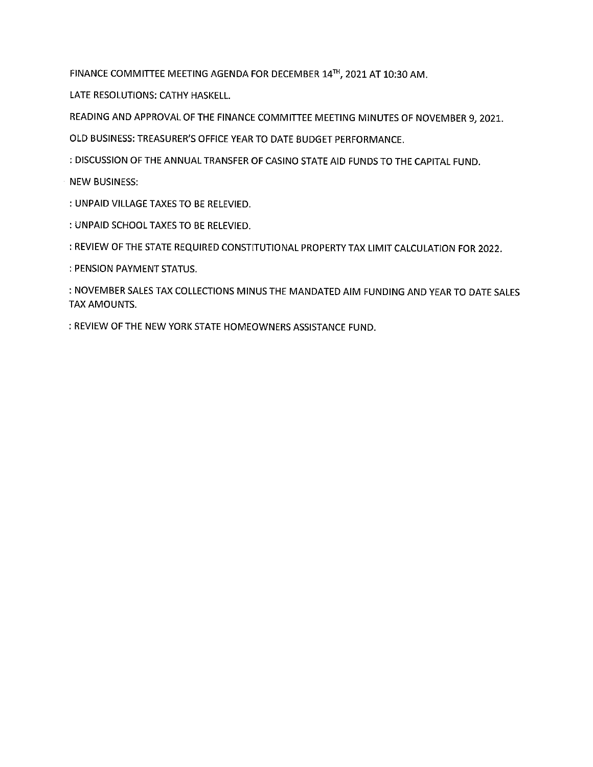FINANCE COMMITTEE MEETING AGENDA FOR DECEMBER 14TH, 2021 AT 10:30 AM.

LATE RESOLUTIONS: CATHY HASKELL.

READING AND APPROVAL OF THE FINANCE COMMITTEE MEETING MINUTES OF NOVEMBER 9, 2021.

OLD BUSINESS: TREASURER'S OFFICE YEAR TO DATE BUDGET PERFORMANCE.

: DISCUSSION OF THE ANNUAL TRANSFER OF CASINO STATE AID FUNDS TO THE CAPITAL FUND.

**NEW BUSINESS:** 

: UNPAID VILLAGE TAXES TO BE RELEVIED.

: UNPAID SCHOOL TAXES TO BE RELEVIED.

: REVIEW OF THE STATE REQUIRED CONSTITUTIONAL PROPERTY TAX LIMIT CALCULATION FOR 2022.

: PENSION PAYMENT STATUS.

: NOVEMBER SALES TAX COLLECTIONS MINUS THE MANDATED AIM FUNDING AND YEAR TO DATE SALES TAX AMOUNTS.

: REVIEW OF THE NEW YORK STATE HOMEOWNERS ASSISTANCE FUND.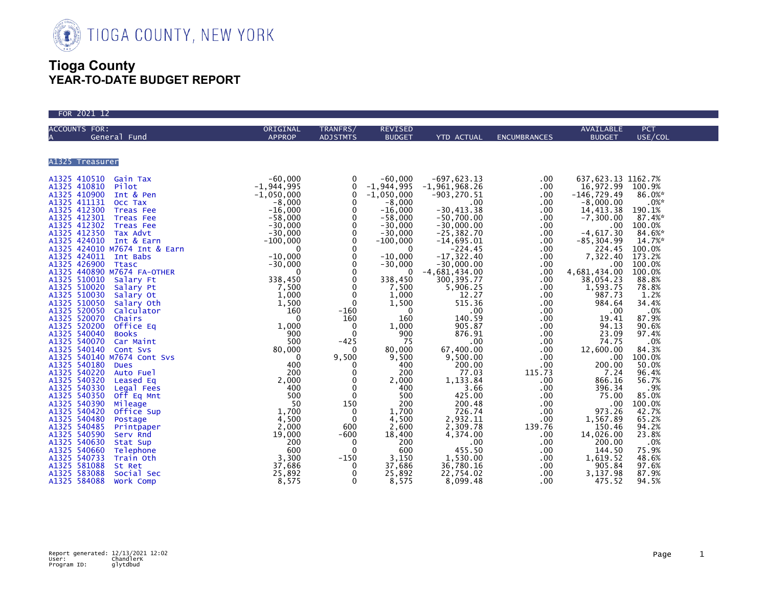

## **Tioga County YEAR-TO-DATE BUDGET REPORT**

| FOR 2021 12          |               |                                                                                                                                                                                                                                                                                                                                                                                                                                                |                                                                                                                                                                                                                                                                                                                                                                            |                                                                                                                                                                                                                                                                                                                                                                                                                                           |                                                                                                                                                                                                                                                                                                                                      |                                                                                                                                                                                                                                                                                                                                                                                                       |                                                                                                                                                                                                                                                                                                             |
|----------------------|---------------|------------------------------------------------------------------------------------------------------------------------------------------------------------------------------------------------------------------------------------------------------------------------------------------------------------------------------------------------------------------------------------------------------------------------------------------------|----------------------------------------------------------------------------------------------------------------------------------------------------------------------------------------------------------------------------------------------------------------------------------------------------------------------------------------------------------------------------|-------------------------------------------------------------------------------------------------------------------------------------------------------------------------------------------------------------------------------------------------------------------------------------------------------------------------------------------------------------------------------------------------------------------------------------------|--------------------------------------------------------------------------------------------------------------------------------------------------------------------------------------------------------------------------------------------------------------------------------------------------------------------------------------|-------------------------------------------------------------------------------------------------------------------------------------------------------------------------------------------------------------------------------------------------------------------------------------------------------------------------------------------------------------------------------------------------------|-------------------------------------------------------------------------------------------------------------------------------------------------------------------------------------------------------------------------------------------------------------------------------------------------------------|
| <b>ACCOUNTS FOR:</b> | ORIGINAL      | TRANFRS/                                                                                                                                                                                                                                                                                                                                                                                                                                       | <b>REVISED</b>                                                                                                                                                                                                                                                                                                                                                             |                                                                                                                                                                                                                                                                                                                                                                                                                                           |                                                                                                                                                                                                                                                                                                                                      | AVAILABLE                                                                                                                                                                                                                                                                                                                                                                                             | <b>PCT</b>                                                                                                                                                                                                                                                                                                  |
| General Fund<br>A    | <b>APPROP</b> | <b>ADJSTMTS</b>                                                                                                                                                                                                                                                                                                                                                                                                                                | <b>BUDGET</b>                                                                                                                                                                                                                                                                                                                                                              | <b>YTD ACTUAL</b>                                                                                                                                                                                                                                                                                                                                                                                                                         | <b>ENCUMBRANCES</b>                                                                                                                                                                                                                                                                                                                  | <b>BUDGET</b>                                                                                                                                                                                                                                                                                                                                                                                         | USE/COL                                                                                                                                                                                                                                                                                                     |
|                      |               |                                                                                                                                                                                                                                                                                                                                                                                                                                                |                                                                                                                                                                                                                                                                                                                                                                            |                                                                                                                                                                                                                                                                                                                                                                                                                                           |                                                                                                                                                                                                                                                                                                                                      |                                                                                                                                                                                                                                                                                                                                                                                                       |                                                                                                                                                                                                                                                                                                             |
| A1325 Treasurer      |               |                                                                                                                                                                                                                                                                                                                                                                                                                                                |                                                                                                                                                                                                                                                                                                                                                                            |                                                                                                                                                                                                                                                                                                                                                                                                                                           |                                                                                                                                                                                                                                                                                                                                      |                                                                                                                                                                                                                                                                                                                                                                                                       |                                                                                                                                                                                                                                                                                                             |
|                      |               | $\mathbf 0$<br>0<br>$\mathbf{0}$<br>0<br>$\mathbf 0$<br>$\Omega$<br>$\mathbf{0}$<br>$\mathbf 0$<br>$\mathbf 0$<br>$\mathbf 0$<br>$\mathbf 0$<br>$\mathbf 0$<br>$\Omega$<br>$\mathbf 0$<br>$\mathbf 0$<br>0<br>$\mathbf{0}$<br>$-160$<br>160<br>$\mathbf 0$<br>$\mathbf{0}$<br>$-425$<br>$\Omega$<br>9,500<br>$\mathbf{0}$<br>$\mathbf{0}$<br>$\mathbf{0}$<br>$\mathbf 0$<br>$\mathbf 0$<br>150<br>$\mathbf 0$<br>$\mathbf{0}$<br>600<br>$-600$ | $-60,000$<br>$-1,944,995$<br>$-1,050,000$<br>$-8,000$<br>$-16,000$<br>$-58,000$<br>$-30,000$<br>$-30,000$<br>$-100,000$<br>$\mathbf{0}$<br>$-10,000$<br>$-30,000$<br>$\mathbf{0}$<br>338,450<br>7,500<br>1,000<br>1,500<br>$\overline{0}$<br>160<br>1,000<br>900<br>75<br>80,000<br>9,500<br>400<br>200<br>2,000<br>400<br>500<br>200<br>1,700<br>4,500<br>2,600<br>18,400 | $-697,623.13$<br>$-1, 961, 968.26$<br>$-903, 270.51$<br>.00<br>$-30.413.38$<br>$-50,700.00$<br>$-30,000.00$<br>$-25, 382.70$<br>$-14,695.01$<br>$-224.45$<br>$-17, 322.40$<br>$-30,000.00$<br>$-4,681,434.00$<br>300, 395.77<br>5,906.25<br>12.27<br>515.36<br>.00<br>140.59<br>905.87<br>876.91<br>.00<br>67,400.00<br>9,500.00<br>200.00<br>77.03<br>1,133.84<br>3.66<br>425.00<br>200.48<br>726.74<br>2,932.11<br>2,309.78<br>4,374.00 | $.00 \,$<br>$.00 \,$<br>$.00 \,$<br>.00<br>.00<br>$.00 \,$<br>.00<br>.00<br>$.00 \,$<br>.00<br>.00<br>$.00 \times$<br>.00<br>$.00 \,$<br>$.00 \,$<br>$.00 \,$<br>$.00 \,$<br>$.00 \,$<br>$.00 \,$<br>$.00 \,$<br>$.00 \,$<br>.00<br>$.00 \,$<br>.00<br>.00<br>115.73<br>.00<br>.00<br>$.00 \,$<br>.00<br>.00<br>.00<br>139.76<br>.00 | 637, 623.13 1162.7%<br>16,972.99<br>$-146, 729.49$<br>$-8,000.00$<br>14,413.38<br>$-7, 300.00$<br>$.00\,$<br>$-4,617.30$<br>$-85, 304.99$<br>224.45<br>7,322.40 173.2%<br>4,681,434.00<br>38,054.23<br>1,593.75<br>987.73<br>984.64<br>.00<br>19.41<br>94.13<br>23.09<br>74.75<br>12,600.00<br>.00<br>200.00<br>7.24<br>866.16<br>396.34<br>75.00<br>.00<br>973.26<br>1,567.89<br>150.46<br>14,026.00 | 100.9%<br>86.0%*<br>.0%<br>190.1%<br>87.4%*<br>100.0%<br>84.6%*<br>14.7%*<br>100.0%<br>$.00 \quad 100.0%$<br>100.0%<br>88.8%<br>78.8%<br>1.2%<br>34.4%<br>.0%<br>87.9%<br>90.6%<br>97.4%<br>.0%<br>84.3%<br>100.0%<br>50.0%<br>96.4%<br>56.7%<br>.9%<br>85.0%<br>100.0%<br>42.7%<br>65.2%<br>94.2%<br>23.8% |
|                      |               | 0<br>$\mathbf 0$<br>$-150$                                                                                                                                                                                                                                                                                                                                                                                                                     | 200<br>600<br>3,150                                                                                                                                                                                                                                                                                                                                                        | $.00 \,$<br>455.50<br>1,530.00                                                                                                                                                                                                                                                                                                                                                                                                            | .00<br>.00<br>.00                                                                                                                                                                                                                                                                                                                    | 200.00<br>144.50                                                                                                                                                                                                                                                                                                                                                                                      | .0%<br>75.9%<br>48.6%                                                                                                                                                                                                                                                                                       |
|                      |               | $\Omega$<br>$\mathbf{0}$<br>$\mathbf 0$                                                                                                                                                                                                                                                                                                                                                                                                        | 37,686<br>25,892<br>8,575                                                                                                                                                                                                                                                                                                                                                  | 36,780.16<br>22,754.02<br>8,099.48                                                                                                                                                                                                                                                                                                                                                                                                        | $.00 \,$<br>.00.<br>$.00 \times$                                                                                                                                                                                                                                                                                                     | 1,619.52<br>905.84<br>3,137.98<br>475.52                                                                                                                                                                                                                                                                                                                                                              | 97.6%<br>87.9%<br>94.5%                                                                                                                                                                                                                                                                                     |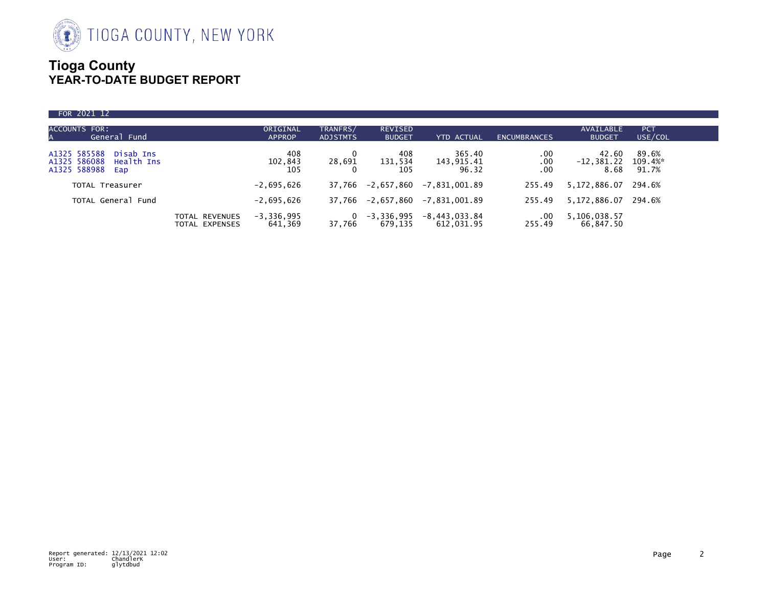

## **Tioga County YEAR-TO-DATE BUDGET REPORT**

| FOR 2021 12                                                                    |                                  |                           |                             |                                 |                               |                     |                                       |                       |  |
|--------------------------------------------------------------------------------|----------------------------------|---------------------------|-----------------------------|---------------------------------|-------------------------------|---------------------|---------------------------------------|-----------------------|--|
| ACCOUNTS FOR:<br>General Fund<br>A                                             |                                  | ORIGINAL<br><b>APPROP</b> | TRANFRS/<br><b>ADJSTMTS</b> | <b>REVISED</b><br><b>BUDGET</b> | <b>YTD ACTUAL</b>             | <b>ENCUMBRANCES</b> | AVAILABLE<br><b>BUDGET</b>            | <b>PCT</b><br>USE/COL |  |
| A1325 585588<br>Disab Ins<br>A1325 586088<br>Health Ins<br>A1325 588988<br>Eap |                                  | 408<br>102,843<br>105     | 0<br>28,691                 | 408<br>131,534<br>105           | 365.40<br>143,915.41<br>96.32 | .00.<br>.00.<br>.00 | 42.60<br>$-12,381.22$ 109.4%*<br>8.68 | 89.6%<br>91.7%        |  |
| <b>TOTAL Treasurer</b>                                                         |                                  | $-2,695,626$              | 37.766                      | -2,657,860                      | -7,831,001.89                 | 255.49              | 5,172,886.07 294.6%                   |                       |  |
| TOTAL General Fund                                                             |                                  | $-2,695,626$              |                             | 37,766 -2,657,860               | $-7,831,001.89$               | 255.49              | 5,172,886.07 294.6%                   |                       |  |
|                                                                                | TOTAL REVENUES<br>TOTAL EXPENSES | $-3, 336, 995$<br>641,369 | 37.766                      | $-3,336,995$<br>679.135         | $-8,443,033.84$<br>612.031.95 | $.00 \,$<br>255.49  | 5,106,038.57<br>66.847.50             |                       |  |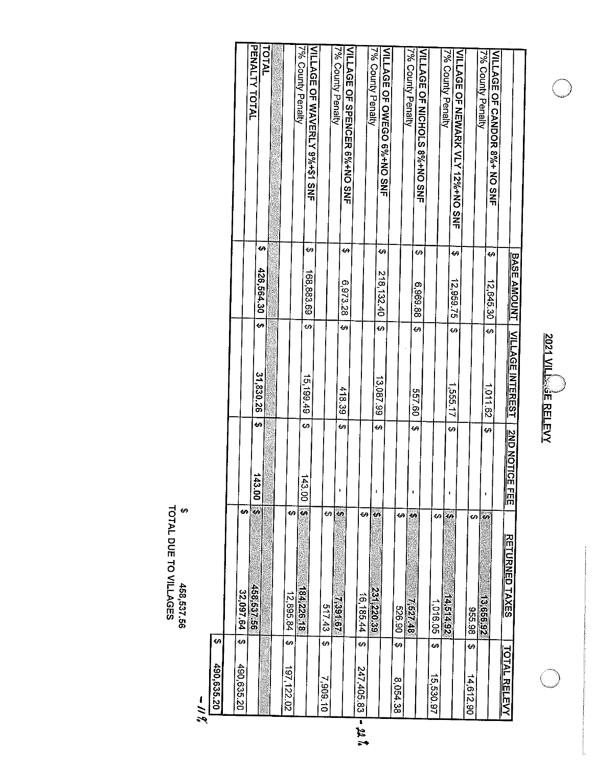| ĺ |
|---|
|   |

 $\bigcirc$ 

| 490.635.20                 | 32,097.64<br>\$                |                                          |                         |                    |                                                   |
|----------------------------|--------------------------------|------------------------------------------|-------------------------|--------------------|---------------------------------------------------|
|                            | ↔                              |                                          |                         |                    | PENALTY TOTAL                                     |
|                            | 95'237.56                      | <b>GA</b><br>43.00<br>49                 | ↔<br>31,830.26          | 49<br>426,564.30   |                                                   |
|                            |                                |                                          |                         |                    | TOTAL                                             |
|                            |                                |                                          |                         |                    |                                                   |
| ¢۹<br>197,122.02           | မာ<br>12,895.84                |                                          |                         |                    |                                                   |
|                            | $\ddot{\bullet}$<br>184,226.18 | €<br>143.00                              | ٠G<br>15,199.49         |                    | 7% County Penalty                                 |
|                            |                                |                                          |                         | ₩<br>168,883.69    | VILLAGE OF WAVERLY 9%+\$1 SNF                     |
| ÷۵<br>7,909.10             | 69<br>51743                    |                                          |                         |                    |                                                   |
|                            | ÷,<br>739167                   | မာ<br>þ                                  | 418.39                  |                    | 7% County Penalty                                 |
|                            |                                |                                          | କ                       | ↮<br>6,973.28      | VILLAGE OF SPENCER 6%+NO SNF                      |
| G)<br>247,405.83<br>न<br>र | ↔<br>16,185.44                 |                                          |                         |                    |                                                   |
|                            |                                |                                          |                         |                    | 7% County Penalty                                 |
|                            | <b>CA</b><br>231,220.39        | Ġ9                                       | ↔<br>13,087.99          | €<br>218, 132.40   |                                                   |
|                            |                                |                                          |                         |                    | VILLAGE OF OWEGO 6%+NO SNF                        |
| မာ<br>8,054.38             | မ<br><b>526.90</b>             |                                          |                         |                    |                                                   |
|                            | t.<br>8722S <sup>1</sup>       | ı                                        |                         |                    | 7% County Penalty                                 |
|                            |                                | ₩                                        | ↔<br>09'199             | 69<br>6,969.88     | VILLAGE OF NICHOLS 8%+NO SNF                      |
| မာ<br>15,530.97            |                                |                                          |                         |                    |                                                   |
|                            | Ġ9<br>1,016.05                 |                                          |                         |                    | 7% County Penalty                                 |
|                            | U,<br><b>14.514.92</b>         | ↔<br>ı                                   | <u>ی</u><br>1,555.17    | ↔<br>12,959.75     | VILLAGE OF NEWARK VLY 12%+NO SNE                  |
|                            |                                |                                          |                         |                    |                                                   |
| မ<br>14,612.90             | ÷۵<br>86.98                    |                                          |                         |                    |                                                   |
|                            | Ŧ,<br>13,656.92                | ↔<br>1                                   | <u>ی</u><br>1011.62     | G)<br>12,645.30    | 7% County Penalty<br>VILLAGE OF CANDOR 8%+ NO SNF |
| <b>TOTAL RELEVY</b>        |                                |                                          |                         |                    |                                                   |
|                            | <b>RETURNED TAXES</b>          | <b><u>2ND NOTIC</u></b><br>m<br>HH<br>HH | <u>VILLAGE INTEREST</u> | <b>BASE AMOUNT</b> |                                                   |
|                            |                                |                                          |                         |                    |                                                   |

\$<br>TOTAL DUE TO VILLAGES

 $\begin{array}{r} 2 & 490,635.20 \\ 2 & 499,635.20 \end{array}$ 

22. P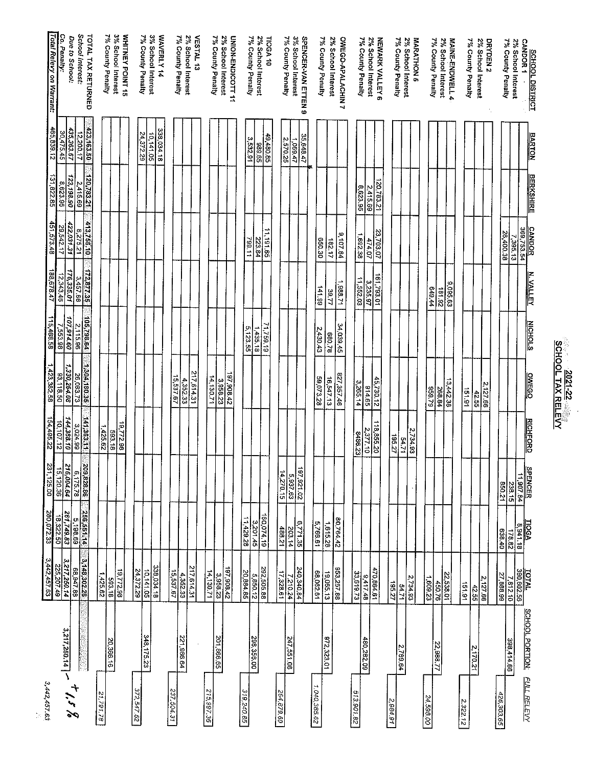|                        | 3,442.457.63<br>672.207.49                                    | 280,072.33                    | 31,125.00                             | 22'987'59               | 1,423,382.58              | 115,468.58             | 188,678.47              | 451,573.48                     | 31,822.85              | 465,839.12              | Total Relevy on Warrant:                  |
|------------------------|---------------------------------------------------------------|-------------------------------|---------------------------------------|-------------------------|---------------------------|------------------------|-------------------------|--------------------------------|------------------------|-------------------------|-------------------------------------------|
| 3,217,250.14           | 3,217,250.14                                                  | 261,749.83<br>05'22'81        | 216,004.64<br>15,120.36               | 144,388.10<br>10,107.12 | 1,330,264.08<br>93,118.50 | 107,914.60<br>7,553.98 | 176,335.01<br>12,343.46 | 422,031.31<br>29,542.17        | 123,198.90<br>8,623.95 | 435,363.67<br>30.475.45 | Co. Penalty:                              |
|                        | 3,148.302.26<br>68,947.88                                     | 69 861 9<br>Di <u>199</u> 992 | $\frac{209,828.86}{6,175.78}$         | 3,024.99                | 26,083.73                 | 2,115.96               | 172,877.35              | 8,275.21                       | 2,415.69               | 12.200.17               | School Interest:<br>Due to School:        |
|                        |                                                               |                               |                                       | 141,363.11              | 1,304,180.35              | 105,798.64             |                         | 413,756.10                     | 120,783.21             | 423,163.50              | <b>TOTAL TAX RETURNED</b>                 |
|                        | 1,425.62                                                      |                               |                                       | 1425.62                 |                           |                        |                         |                                |                        |                         | 7% County Penalty                         |
| 20,366.16              | 19,772.98<br>593.18                                           |                               |                                       | 19,772.98<br>593.18     |                           |                        |                         |                                |                        |                         | 3% School Interest<br>WHITNEY POINT 15    |
|                        |                                                               |                               |                                       |                         |                           |                        |                         |                                |                        |                         |                                           |
| 348,175.23             | $\frac{10,141.05}{24,372.29}$                                 |                               |                                       |                         |                           |                        |                         |                                |                        | 24 372.29<br>10,141.05  | 7% County Penalty<br>3% School Interest   |
|                        | 338,034.18                                                    |                               |                                       |                         |                           |                        |                         |                                |                        | 338 034.18              | WAVERLY 14                                |
|                        |                                                               |                               |                                       |                         | 15.537.67                 |                        |                         |                                |                        |                         | 7% County Penalty                         |
| 221,966.64             | $\frac{217,614.31}{4,352.33}$<br>$\frac{4,352.33}{15,537.67}$ |                               |                                       |                         | 435233                    |                        |                         |                                |                        |                         | 2% School Interest                        |
|                        |                                                               |                               |                                       |                         | 217 514.31                |                        |                         |                                |                        |                         | <b>VESTAL 13</b>                          |
|                        | 14,130.71                                                     |                               |                                       |                         | 14.130.71                 |                        |                         |                                |                        |                         |                                           |
| 201,866.65             | 3,958.23                                                      |                               |                                       |                         | 3 958.23                  |                        |                         |                                |                        |                         | 2% School Interest<br>7% County Penalty   |
|                        | 197,908.42                                                    |                               |                                       |                         | 197 908.42                |                        |                         |                                |                        |                         | UNION-ENDICOTT 11                         |
|                        | 20,884.85                                                     | 11429.28                      |                                       |                         |                           | 5,123.55               |                         | 799.11                         |                        |                         |                                           |
| 298,356.00             | 5,850.12                                                      | 160,074.19<br>- 3201.45       |                                       |                         |                           | 1435.18                |                         | 223.84                         |                        | 3,532.91<br>59'686      | 7% County Penalty<br>2% School Interest   |
|                        | 292,505.88                                                    |                               |                                       |                         |                           | 71,759.19              |                         | 11, 191.65                     |                        | 49,480.85               | <b>TIOGA 10</b>                           |
|                        | 17,328.61                                                     | 488.21                        | 14,270.15                             |                         |                           |                        |                         |                                |                        |                         |                                           |
| 247,551.08             | 7,210.24                                                      | 203.14                        | 59763                                 |                         |                           |                        |                         |                                |                        | 2,570.25                | 7% County Penalty                         |
|                        | 240,340.84                                                    | 6,771.35                      | 197,921.02                            |                         |                           |                        |                         |                                |                        | 35,648.47<br>1,069.47   | 3% School Interest<br>SPENCER-VAN ETTEN 9 |
|                        | 68,062.61                                                     | 5,766.61                      |                                       |                         | 59,073,28                 | 2,430.43               | 141.99                  | 030.30                         |                        |                         |                                           |
| 972,323.01             | 19,065.13                                                     | 1,615.28                      |                                       |                         | 16,547.13                 | 87.088                 | 39.77                   |                                |                        |                         | 7% County Penalty                         |
|                        | 853,257.88                                                    | 80,764.42                     |                                       |                         | 827,357.46                | 34,039.45              | 1.388.71                | $\frac{9,107.84}{ }$<br>182.17 |                        |                         | 2% School Interest                        |
|                        |                                                               |                               |                                       |                         |                           |                        |                         |                                |                        |                         | OWEGO-APALACHIN7                          |
|                        | 33,619.73                                                     |                               |                                       | 8486.23                 | 3,265.14                  |                        | 11,552.03               | 1,692.38                       | 8,623.95               |                         | 7% County Penalty                         |
| 480,282.09             | 470,864.61<br>- 9,417.48                                      |                               |                                       | 2,377.10                | 614.65                    |                        | 3,235.97                | 474.07                         | 2,415.69               |                         | 2% School Interest                        |
|                        |                                                               |                               |                                       | 13,855.20               | 45,730.12                 |                        | 161,793.01              | 23,703.07                      | 120783.21              |                         | NEWARK VALLEY 6                           |
|                        | $rac{195}{27}$                                                |                               |                                       | 195.27                  |                           |                        |                         |                                |                        |                         | 7% County Penalty                         |
|                        | 54.71                                                         |                               |                                       | 54.71                   |                           |                        |                         |                                |                        |                         | 2% School Interest                        |
|                        | 2,734.93                                                      |                               |                                       | 2,734.93                |                           |                        |                         |                                |                        |                         | MARATHON 5                                |
|                        | 1,609.23                                                      |                               |                                       |                         | 62.656                    |                        | 649.44                  |                                |                        |                         |                                           |
|                        | <b>450.76</b>                                                 |                               |                                       |                         | 268.84                    |                        | 181.92                  |                                |                        |                         | 7% County Penalty<br>2% School Interest   |
|                        | $\frac{22,538.01}{ }$                                         |                               |                                       |                         | 3,442.38                  |                        | 9,095.63                |                                |                        |                         | MAINE-ENDWELL 4                           |
|                        | 151.91                                                        |                               |                                       |                         | 151.91                    |                        |                         |                                |                        |                         |                                           |
|                        | 42.55                                                         |                               |                                       |                         |                           |                        |                         |                                |                        |                         | 7% County Penalty                         |
|                        | 2,127.66                                                      |                               |                                       |                         | 2,127.66<br>42.55         |                        |                         |                                |                        |                         | 2% School Interest<br>DRYDEN <sub>2</sub> |
|                        |                                                               |                               |                                       |                         |                           |                        |                         |                                |                        |                         |                                           |
| 398,414.66             | 57,888.99                                                     | 038.40                        | 12038                                 |                         |                           |                        |                         | 26,400.38                      |                        |                         | 7% County Penalty                         |
|                        | 101AL<br>390,602.56<br>7,812.10                               | $\frac{8,941.18}{178.82}$     | <b>SPENCER</b><br>11,907.84<br>238.15 |                         |                           |                        |                         | 7,395,13                       |                        |                         | 2% School Interest                        |
| <b>SCHOOL PORTION:</b> |                                                               |                               |                                       |                         |                           |                        |                         | CANDOR<br>369,753.54           |                        |                         |                                           |

**SCHOOL TAX RELEYY**<br>SCHOOL TAX RELEYY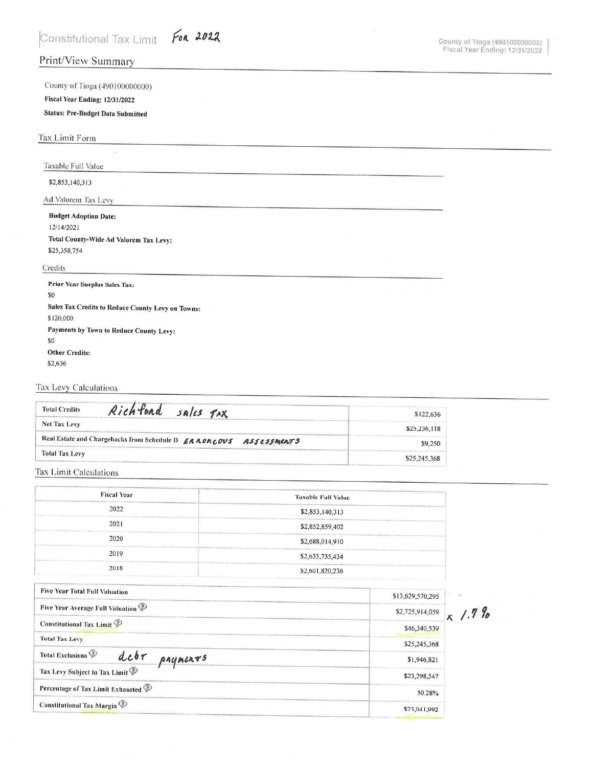## Print/View Summary

County of Tioga (490100000000) Fiscal Year Ending: 12/31/2022

## **Status: Pre-Budget Data Submitted**

### Tax Limit Form

Taxable Full Value

### \$2,853,140,313

Ad Valorem Tax Levy

# **Budget Adoption Date:** 12/14/2021

Total County-Wide Ad Valorem Tax Levy: \$25,358,754

#### Credits

**Prior Year Surplus Sales Tax:**  $$0$ Sales Tax Credits to Reduce County Levy on Towns: \$120,000 Payments by Town to Reduce County Levy:  $\$0$ **Other Credits:** \$2,636

### Tax Levy Calculations

| Richford sales TAX<br><b>Total Credits</b>                           | \$122.636    |
|----------------------------------------------------------------------|--------------|
| <b>Net Tax Levy</b>                                                  | \$25,236,118 |
| Real Estate and Chargebacks from Schedule D ERRONCOUS<br>ASSESSMERTS | \$9,250      |
| <b>Total Tax Levy</b>                                                | \$25,245,368 |

#### Tax Limit Calculations

| <b>Fiscal Year</b>                                     | <b>Taxable Full Value</b> |        |
|--------------------------------------------------------|---------------------------|--------|
| 2022                                                   | \$2,853,140,313           |        |
| 2021                                                   | \$2,852,859,402           |        |
| 2020                                                   | \$2,688,014,910           |        |
| 2019                                                   | \$2,633,735,434           |        |
| 2018                                                   | \$2,601,820,236           |        |
| <b>Five Year Total Full Valuation</b>                  | \$13,629,570,295          | $\sim$ |
| Five Year Average Full Valuation <sup>TV</sup>         | \$2,725,914,059           |        |
| Constitutional Tax Limit                               | \$46,340,539              |        |
| <b>Total Tax Levy</b>                                  | \$25,245,368              |        |
| Total Exclusions <sup>p</sup><br>$dcb\tau$<br>PAYMERTS | \$1,946,821               |        |
| Tax Levy Subject to Tax Limit                          | \$23,298,547              |        |
| Percentage of Tax Limit Exhausted                      | 50.28%                    |        |
| Constitutional Tax Margin                              | \$23,041,992              |        |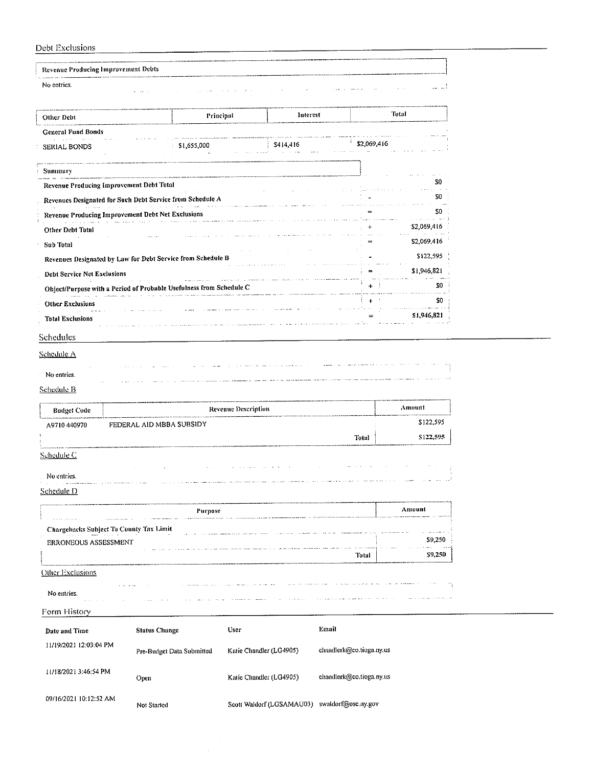## Daht Fychield

| Debt Exclusions                                 |                                                                     |                            |           |                          |                |                                                 |
|-------------------------------------------------|---------------------------------------------------------------------|----------------------------|-----------|--------------------------|----------------|-------------------------------------------------|
| <b>Revenue Producing Improvement Debts</b>      |                                                                     |                            |           |                          |                |                                                 |
| No entries.                                     |                                                                     |                            |           |                          |                |                                                 |
|                                                 |                                                                     |                            |           |                          |                |                                                 |
| Other Debt                                      |                                                                     | Principal                  | Interest  |                          | Total          |                                                 |
| <b>General Fund Bonds</b>                       |                                                                     |                            |           |                          |                |                                                 |
| SERIAL BONDS                                    | \$1,655,000                                                         |                            | \$414,416 |                          | \$2,069,416    |                                                 |
| Summary                                         |                                                                     |                            |           |                          |                |                                                 |
| <b>Revenue Producing Improvement Debt Total</b> |                                                                     |                            |           |                          |                | \$0<br>$\alpha$ , $\alpha$ , $\beta$ , $\alpha$ |
|                                                 | Revenues Designated for Such Debt Service from Schedule A           |                            |           |                          |                | 50                                              |
|                                                 | Revenue Producing Improvement Debt Net Exclusions                   |                            |           |                          |                | 30                                              |
| Other Debt Total                                |                                                                     |                            |           |                          |                | \$2,069,416                                     |
| Sub Total                                       |                                                                     |                            |           |                          |                | \$2,069,416                                     |
|                                                 | Revenues Designated by Law for Debt Service from Schedule B         |                            |           |                          |                | \$122,595                                       |
| <b>Debt Service Net Exclusions</b>              |                                                                     |                            |           |                          |                | \$1,946,821                                     |
|                                                 | Object/Purpose with a Period of Probable Usefulness from Schedule C | $\sim$ and $\sim$          |           |                          | 4.             | \$0                                             |
| <b>Other Exclusions</b>                         |                                                                     |                            |           |                          | $\overline{1}$ | \$0                                             |
| <b>Total Exclusions</b>                         |                                                                     |                            |           |                          |                | \$1,946,821                                     |
|                                                 |                                                                     |                            |           |                          |                |                                                 |
| Schedules                                       |                                                                     |                            |           |                          |                |                                                 |
| Schedule B<br><b>Budget Code</b>                |                                                                     | <b>Revenue Description</b> |           |                          |                | Amount                                          |
| A9710440970                                     | FEDERAL AID MBBA SUBSIDY                                            |                            |           |                          |                | \$122,595                                       |
|                                                 |                                                                     |                            |           | Total                    |                | \$122,595                                       |
| Schedule C                                      |                                                                     |                            |           |                          |                |                                                 |
|                                                 |                                                                     |                            |           |                          |                |                                                 |
| No entries.                                     |                                                                     |                            |           |                          |                |                                                 |
| Schedule D                                      |                                                                     |                            |           |                          |                |                                                 |
|                                                 | Purpose                                                             |                            |           |                          |                | Amount                                          |
| Chargebacks Subject To County Tax Limit         |                                                                     |                            |           |                          |                |                                                 |
| ERRONEOUS ASSESSMENT                            |                                                                     |                            |           |                          |                | \$9,250                                         |
|                                                 |                                                                     |                            |           | Total                    |                | \$9,250                                         |
| Other Exclusions                                |                                                                     |                            |           |                          |                |                                                 |
|                                                 |                                                                     |                            |           |                          |                |                                                 |
| No entries.                                     |                                                                     |                            |           |                          |                |                                                 |
|                                                 |                                                                     |                            |           |                          |                |                                                 |
|                                                 |                                                                     |                            |           |                          |                |                                                 |
| Form History                                    |                                                                     | User                       |           | Email                    |                |                                                 |
| Date and Time                                   | <b>Status Change</b>                                                |                            |           |                          |                |                                                 |
| 11/19/2021 12:03:04 PM                          | Pre-Budget Data Submitted                                           | Katie Chandler (LG4905)    |           | chandlerk@co.tioga.ny.us |                |                                                 |
| 11/18/2021 3:46:54 PM                           | Open                                                                | Katie Chandler (LG4905)    |           | chandlerk@co.tioga.ny.us |                |                                                 |
| 09/16/2021 10:12:52 AM                          |                                                                     |                            |           |                          |                |                                                 |

 $-$ 

Scott Waldorf (LGSAMAU03) swaldorf@osc.ny.gov Not Started